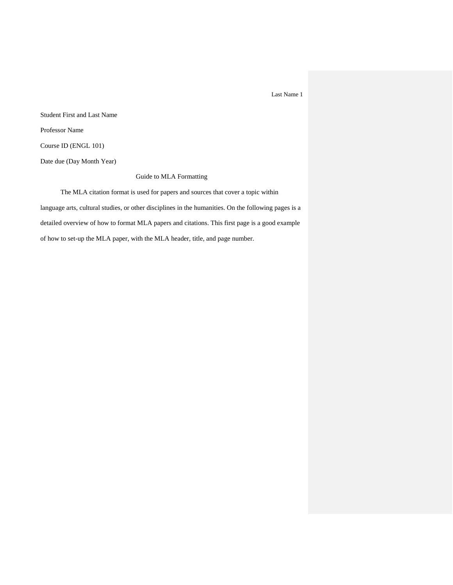Student First and Last Name Professor Name Course ID (ENGL 101) Date due (Day Month Year)

Guide to MLA Formatting

The MLA citation format is used for papers and sources that cover a topic within language arts, cultural studies, or other disciplines in the humanities. On the following pages is a detailed overview of how to format MLA papers and citations. This first page is a good example of how to set-up the MLA paper, with the MLA header, title, and page number.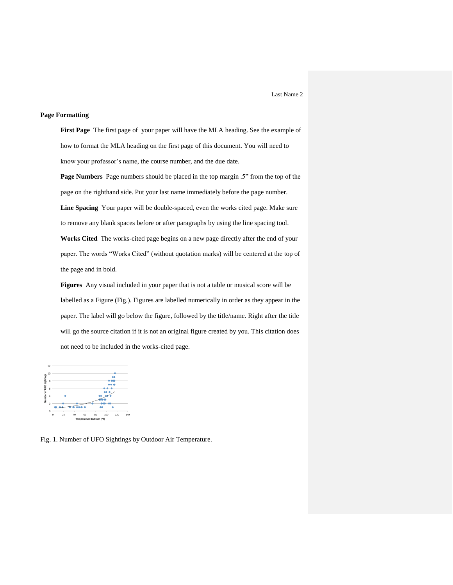#### **Page Formatting**

**First Page** The first page of your paper will have the MLA heading. See the example of how to format the MLA heading on the first page of this document. You will need to know your professor's name, the course number, and the due date.

**Page Numbers** Page numbers should be placed in the top margin .5" from the top of the page on the righthand side. Put your last name immediately before the page number. **Line Spacing** Your paper will be double-spaced, even the works cited page. Make sure to remove any blank spaces before or after paragraphs by using the line spacing tool. **Works Cited** The works-cited page begins on a new page directly after the end of your paper. The words "Works Cited" (without quotation marks) will be centered at the top of the page and in bold.

**Figures** Any visual included in your paper that is not a table or musical score will be labelled as a Figure (Fig.). Figures are labelled numerically in order as they appear in the paper. The label will go below the figure, followed by the title/name. Right after the title will go the source citation if it is not an original figure created by you. This citation does not need to be included in the works-cited page.



Fig. 1. Number of UFO Sightings by Outdoor Air Temperature.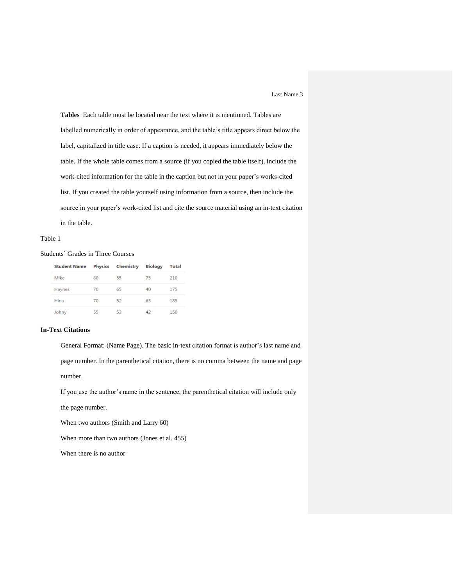**Tables** Each table must be located near the text where it is mentioned. Tables are labelled numerically in order of appearance, and the table's title appears direct below the label, capitalized in title case. If a caption is needed, it appears immediately below the table. If the whole table comes from a source (if you copied the table itself), include the work-cited information for the table in the caption but not in your paper's works-cited list. If you created the table yourself using information from a source, then include the source in your paper's work-cited list and cite the source material using an in-text citation in the table.

#### Table 1

## Students' Grades in Three Courses

| <b>Student Name</b> | <b>Physics</b> | Chemistry | <b>Biology</b> | Total |
|---------------------|----------------|-----------|----------------|-------|
| Mike                | 80             | 55        | 75             | 210   |
| Haynes              | 70             | 65        | 40             | 175   |
| Hina                | 70             | 52        | 63             | 185   |
| Johny               | 55             | 53        | 42             | 150   |

## **In-Text Citations**

General Format: (Name Page). The basic in-text citation format is author's last name and page number. In the parenthetical citation, there is no comma between the name and page number.

If you use the author's name in the sentence, the parenthetical citation will include only

the page number.

When two authors (Smith and Larry 60)

When more than two authors (Jones et al. 455)

When there is no author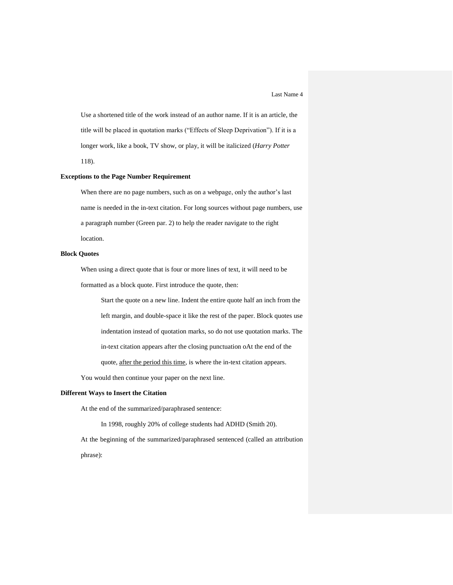Use a shortened title of the work instead of an author name. If it is an article, the title will be placed in quotation marks ("Effects of Sleep Deprivation"). If it is a longer work, like a book, TV show, or play, it will be italicized (*Harry Potter*  118).

### **Exceptions to the Page Number Requirement**

When there are no page numbers, such as on a webpage, only the author's last name is needed in the in-text citation. For long sources without page numbers, use a paragraph number (Green par. 2) to help the reader navigate to the right location.

### **Block Quotes**

When using a direct quote that is four or more lines of text, it will need to be formatted as a block quote. First introduce the quote, then:

Start the quote on a new line. Indent the entire quote half an inch from the left margin, and double-space it like the rest of the paper. Block quotes use indentation instead of quotation marks, so do not use quotation marks. The in-text citation appears after the closing punctuation oAt the end of the quote, after the period this time, is where the in-text citation appears.

You would then continue your paper on the next line.

### **Different Ways to Insert the Citation**

At the end of the summarized/paraphrased sentence:

In 1998, roughly 20% of college students had ADHD (Smith 20).

At the beginning of the summarized/paraphrased sentenced (called an attribution phrase):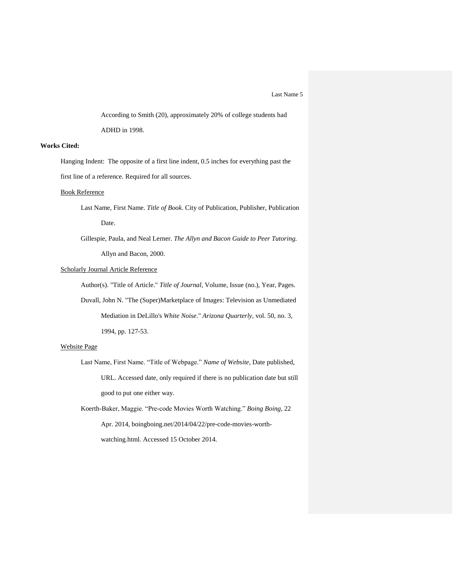According to Smith (20), approximately 20% of college students had ADHD in 1998.

# **Works Cited:**

Hanging Indent: The opposite of a first line indent, 0.5 inches for everything past the first line of a reference. Required for all sources.

## Book Reference

- Last Name, First Name. *Title of Book*. City of Publication, Publisher, Publication Date.
- Gillespie, Paula, and Neal Lerner. *The Allyn and Bacon Guide to Peer Tutoring*. Allyn and Bacon, 2000.

### Scholarly Journal Article Reference

Author(s). "Title of Article." *Title of Journal*, Volume, Issue (no.), Year, Pages. Duvall, John N. "The (Super)Marketplace of Images: Television as Unmediated

Mediation in DeLillo's *White Noise*." *Arizona Quarterly*, vol. 50, no. 3,

1994, pp. 127-53.

### Website Page

Last Name, First Name. "Title of Webpage." *Name of Website,* Date published, URL. Accessed date, only required if there is no publication date but still good to put one either way.

Koerth-Baker, Maggie. "Pre-code Movies Worth Watching." *Boing Boing*, 22 Apr. 2014, boingboing.net/2014/04/22/pre-code-movies-worthwatching.html. Accessed 15 October 2014.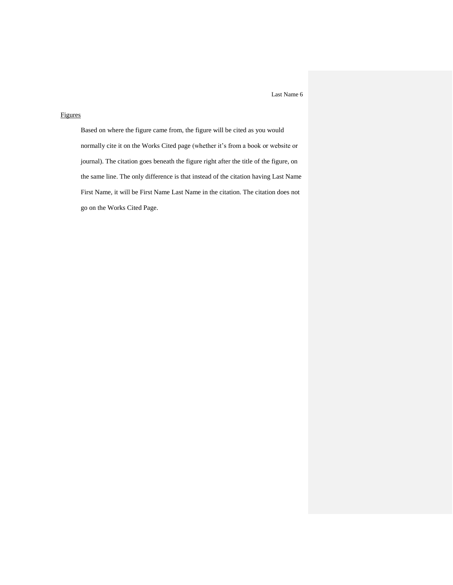# Figures

Based on where the figure came from, the figure will be cited as you would normally cite it on the Works Cited page (whether it's from a book or website or journal). The citation goes beneath the figure right after the title of the figure, on the same line. The only difference is that instead of the citation having Last Name First Name, it will be First Name Last Name in the citation. The citation does not go on the Works Cited Page.